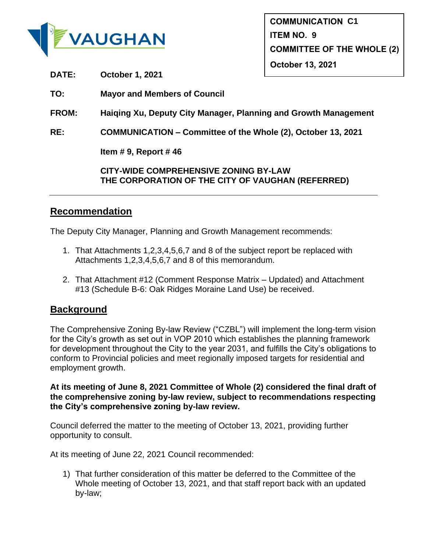

**DATE: October 1, 2021**

**TO: Mayor and Members of Council**

**FROM: Haiqing Xu, Deputy City Manager, Planning and Growth Management**

**RE: COMMUNICATION – Committee of the Whole (2), October 13, 2021**

**Item # 9, Report # 46**

**CITY-WIDE COMPREHENSIVE ZONING BY-LAW THE CORPORATION OF THE CITY OF VAUGHAN (REFERRED)**

## **Recommendation**

The Deputy City Manager, Planning and Growth Management recommends:

- 1. That Attachments 1,2,3,4,5,6,7 and 8 of the subject report be replaced with Attachments 1,2,3,4,5,6,7 and 8 of this memorandum.
- 2. That Attachment #12 (Comment Response Matrix Updated) and Attachment #13 (Schedule B-6: Oak Ridges Moraine Land Use) be received.

## **Background**

The Comprehensive Zoning By-law Review ("CZBL") will implement the long-term vision for the City's growth as set out in VOP 2010 which establishes the planning framework for development throughout the City to the year 2031, and fulfills the City's obligations to conform to Provincial policies and meet regionally imposed targets for residential and employment growth.

**At its meeting of June 8, 2021 Committee of Whole (2) considered the final draft of the comprehensive zoning by-law review, subject to recommendations respecting the City's comprehensive zoning by-law review.** 

Council deferred the matter to the meeting of October 13, 2021, providing further opportunity to consult.

At its meeting of June 22, 2021 Council recommended:

1) That further consideration of this matter be deferred to the Committee of the Whole meeting of October 13, 2021, and that staff report back with an updated by-law;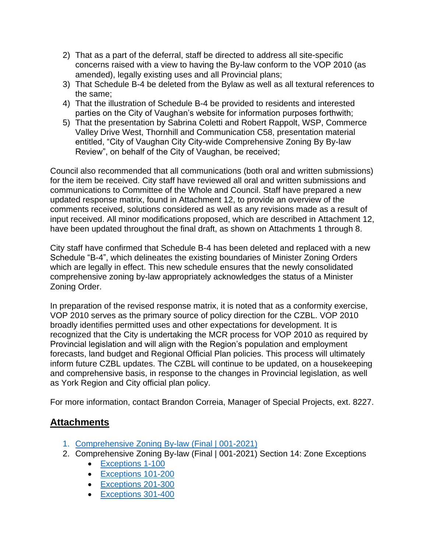- 2) That as a part of the deferral, staff be directed to address all site-specific concerns raised with a view to having the By-law conform to the VOP 2010 (as amended), legally existing uses and all Provincial plans;
- 3) That Schedule B-4 be deleted from the Bylaw as well as all textural references to the same;
- 4) That the illustration of Schedule B-4 be provided to residents and interested parties on the City of Vaughan's website for information purposes forthwith;
- 5) That the presentation by Sabrina Coletti and Robert Rappolt, WSP, Commerce Valley Drive West, Thornhill and Communication C58, presentation material entitled, "City of Vaughan City City-wide Comprehensive Zoning By By-law Review", on behalf of the City of Vaughan, be received;

Council also recommended that all communications (both oral and written submissions) for the item be received. City staff have reviewed all oral and written submissions and communications to Committee of the Whole and Council. Staff have prepared a new updated response matrix, found in Attachment 12, to provide an overview of the comments received, solutions considered as well as any revisions made as a result of input received. All minor modifications proposed, which are described in Attachment 12, have been updated throughout the final draft, as shown on Attachments 1 through 8.

City staff have confirmed that Schedule B-4 has been deleted and replaced with a new Schedule "B-4", which delineates the existing boundaries of Minister Zoning Orders which are legally in effect. This new schedule ensures that the newly consolidated comprehensive zoning by-law appropriately acknowledges the status of a Minister Zoning Order.

In preparation of the revised response matrix, it is noted that as a conformity exercise, VOP 2010 serves as the primary source of policy direction for the CZBL. VOP 2010 broadly identifies permitted uses and other expectations for development. It is recognized that the City is undertaking the MCR process for VOP 2010 as required by Provincial legislation and will align with the Region's population and employment forecasts, land budget and Regional Official Plan policies. This process will ultimately inform future CZBL updates. The CZBL will continue to be updated, on a housekeeping and comprehensive basis, in response to the changes in Provincial legislation, as well as York Region and City official plan policy.

For more information, contact Brandon Correia, Manager of Special Projects, ext. 8227.

## **Attachments**

- 1. [Comprehensive Zoning By-law \(Final | 001-2021\)](https://www.vaughan.ca/services/business/zoning_services/General%20Documents/Comprehensive%20Zoning%20By-law%20%28Final%2001-2021%29.pdf)
- 2. Comprehensive Zoning By-law (Final | 001-2021) Section 14: Zone Exceptions
	- [Exceptions 1-100](https://www.vaughan.ca/services/business/zoning_services/General%20Documents/Zone%20Exceptions%201-100%20%28Oct%2013%202021%29.pdf)
	- [Exceptions 101-200](https://www.vaughan.ca/services/business/zoning_services/General%20Documents/Zone%20Exceptions%20101-200%20%28Oct%2013%202021%29.pdf)
	- [Exceptions 201-300](https://www.vaughan.ca/services/business/zoning_services/General%20Documents/Zone%20Exceptions%20201-300%20%28Oct%2013%202021%29.pdf)
	- [Exceptions 301-400](https://www.vaughan.ca/services/business/zoning_services/General%20Documents/Zone%20Exceptions%20301-400%20%28Oct%2013%202021%29.pdf)